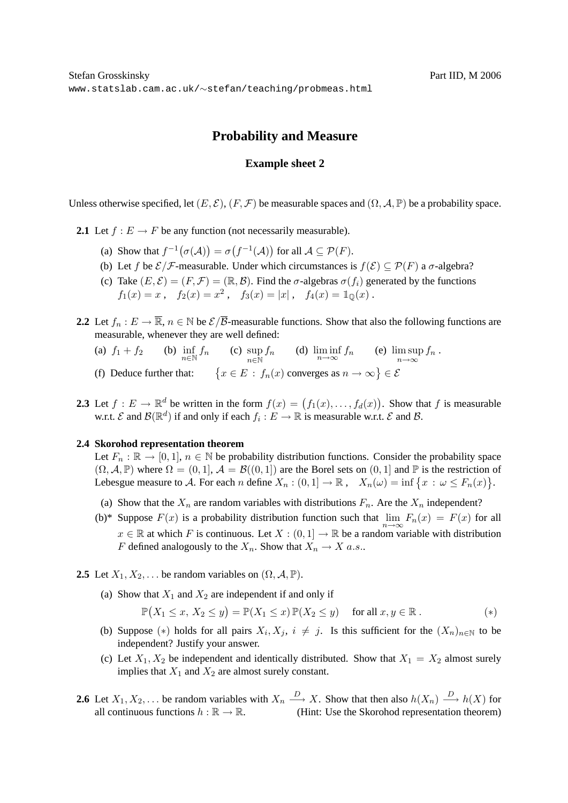## **Probability and Measure**

## **Example sheet 2**

Unless otherwise specified, let  $(E, \mathcal{E})$ ,  $(F, \mathcal{F})$  be measurable spaces and  $(\Omega, \mathcal{A}, \mathbb{P})$  be a probability space.

**2.1** Let  $f : E \to F$  be any function (not necessarily measurable).

- (a) Show that  $f^{-1}(\sigma(A)) = \sigma(f^{-1}(A))$  for all  $A \subseteq \mathcal{P}(F)$ .
- (b) Let f be  $\mathcal{E}/\mathcal{F}$ -measurable. Under which circumstances is  $f(\mathcal{E}) \subseteq \mathcal{P}(F)$  a  $\sigma$ -algebra?
- (c) Take  $(E, \mathcal{E}) = (F, \mathcal{F}) = (\mathbb{R}, \mathcal{B})$ . Find the  $\sigma$ -algebras  $\sigma(f_i)$  generated by the functions  $f_1(x) = x$ ,  $f_2(x) = x^2$ ,  $f_3(x) = |x|$ ,  $f_4(x) = 1$ <sub>Q</sub>(x).
- **2.2** Let  $f_n : E \to \overline{\mathbb{R}}$ ,  $n \in \mathbb{N}$  be  $\mathcal{E}/\overline{\mathcal{B}}$ -measurable functions. Show that also the following functions are measurable, whenever they are well defined:
	- (a)  $f_1 + f_2$  (b)  $\inf_{n \in \mathbb{N}} f_n$  (c)  $\sup_{n \in \mathbb{N}} f_n$  (d)  $\liminf_{n \to \infty} f_n$  (e)  $\limsup_{n \to \infty} f_n$ . (f) Deduce further that:  $\{x \in E : f_n(x) \text{ converges as } n \to \infty\} \in \mathcal{E}$
- **2.3** Let  $f: E \to \mathbb{R}^d$  be written in the form  $f(x) = (f_1(x), \ldots, f_d(x))$ . Show that f is measurable w.r.t.  $\mathcal E$  and  $\mathcal B(\mathbb R^d)$  if and only if each  $f_i: E \to \mathbb R$  is measurable w.r.t.  $\mathcal E$  and  $\mathcal B$ .

## **2.4 Skorohod representation theorem**

Let  $F_n : \mathbb{R} \to [0,1], n \in \mathbb{N}$  be probability distribution functions. Consider the probability space  $(\Omega, \mathcal{A}, \mathbb{P})$  where  $\Omega = (0, 1], \mathcal{A} = \mathcal{B}((0, 1])$  are the Borel sets on  $(0, 1]$  and  $\mathbb{P}$  is the restriction of Lebesgue measure to A. For each n define  $X_n : (0,1] \to \mathbb{R}$ ,  $X_n(\omega) = \inf \{x : \omega \le F_n(x)\}.$ 

- (a) Show that the  $X_n$  are random variables with distributions  $F_n$ . Are the  $X_n$  independent?
- (b)\* Suppose  $F(x)$  is a probability distribution function such that  $\lim_{n\to\infty} F_n(x) = F(x)$  for all  $x \in \mathbb{R}$  at which F is continuous. Let  $X : (0,1] \to \mathbb{R}$  be a random variable with distribution F defined analogously to the  $X_n$ . Show that  $X_n \to X$  a.s..
- **2.5** Let  $X_1, X_2, \ldots$  be random variables on  $(\Omega, \mathcal{A}, \mathbb{P})$ .
	- (a) Show that  $X_1$  and  $X_2$  are independent if and only if

$$
\mathbb{P}(X_1 \le x, X_2 \le y) = \mathbb{P}(X_1 \le x) \mathbb{P}(X_2 \le y) \quad \text{for all } x, y \in \mathbb{R} \,. \tag{*}
$$

- (b) Suppose (\*) holds for all pairs  $X_i, X_j, i \neq j$ . Is this sufficient for the  $(X_n)_{n\in\mathbb{N}}$  to be independent? Justify your answer.
- (c) Let  $X_1, X_2$  be independent and identically distributed. Show that  $X_1 = X_2$  almost surely implies that  $X_1$  and  $X_2$  are almost surely constant.
- **2.6** Let  $X_1, X_2, \ldots$  be random variables with  $X_n \stackrel{D}{\longrightarrow} X$ . Show that then also  $h(X_n) \stackrel{D}{\longrightarrow} h(X)$  for all continuous functions  $h : \mathbb{R} \to \mathbb{R}$ . (Hint: Use the Skorohod representation theorem)